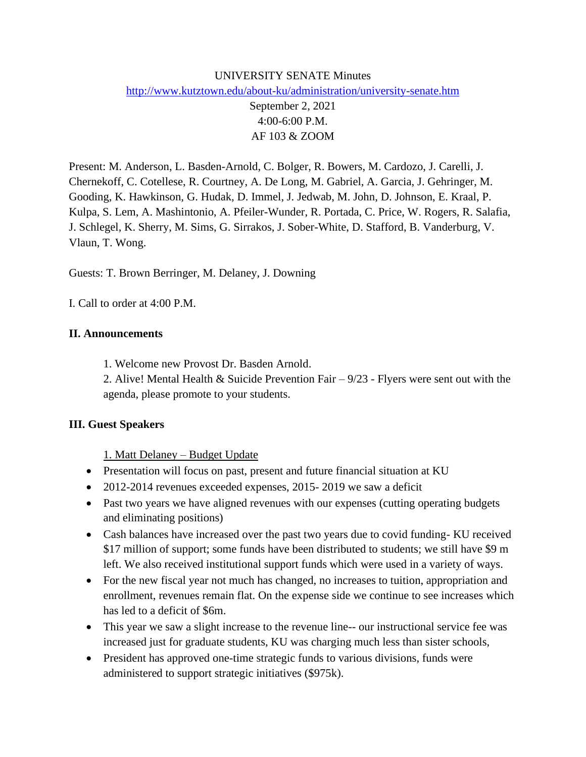## UNIVERSITY SENATE Minutes <http://www.kutztown.edu/about-ku/administration/university-senate.htm>

September 2, 2021 4:00-6:00 P.M. AF 103 & ZOOM

Present: M. Anderson, L. Basden-Arnold, C. Bolger, R. Bowers, M. Cardozo, J. Carelli, J. Chernekoff, C. Cotellese, R. Courtney, A. De Long, M. Gabriel, A. Garcia, J. Gehringer, M. Gooding, K. Hawkinson, G. Hudak, D. Immel, J. Jedwab, M. John, D. Johnson, E. Kraal, P. Kulpa, S. Lem, A. Mashintonio, A. Pfeiler-Wunder, R. Portada, C. Price, W. Rogers, R. Salafia, J. Schlegel, K. Sherry, M. Sims, G. Sirrakos, J. Sober-White, D. Stafford, B. Vanderburg, V. Vlaun, T. Wong.

Guests: T. Brown Berringer, M. Delaney, J. Downing

I. Call to order at 4:00 P.M.

### **II. Announcements**

1. Welcome new Provost Dr. Basden Arnold.

2. Alive! Mental Health & Suicide Prevention Fair – 9/23 - Flyers were sent out with the agenda, please promote to your students.

#### **III. Guest Speakers**

1. Matt Delaney – Budget Update

- Presentation will focus on past, present and future financial situation at KU
- 2012-2014 revenues exceeded expenses, 2015-2019 we saw a deficit
- Past two years we have aligned revenues with our expenses (cutting operating budgets and eliminating positions)
- Cash balances have increased over the past two years due to covid funding-KU received \$17 million of support; some funds have been distributed to students; we still have \$9 m left. We also received institutional support funds which were used in a variety of ways.
- For the new fiscal year not much has changed, no increases to tuition, appropriation and enrollment, revenues remain flat. On the expense side we continue to see increases which has led to a deficit of \$6m.
- This year we saw a slight increase to the revenue line-- our instructional service fee was increased just for graduate students, KU was charging much less than sister schools,
- President has approved one-time strategic funds to various divisions, funds were administered to support strategic initiatives (\$975k).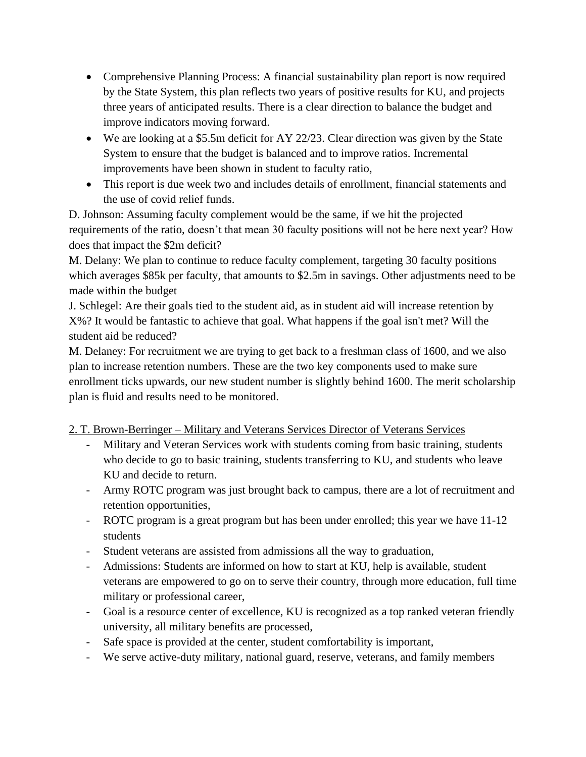- Comprehensive Planning Process: A financial sustainability plan report is now required by the State System, this plan reflects two years of positive results for KU, and projects three years of anticipated results. There is a clear direction to balance the budget and improve indicators moving forward.
- We are looking at a \$5.5m deficit for AY 22/23. Clear direction was given by the State System to ensure that the budget is balanced and to improve ratios. Incremental improvements have been shown in student to faculty ratio,
- This report is due week two and includes details of enrollment, financial statements and the use of covid relief funds.

D. Johnson: Assuming faculty complement would be the same, if we hit the projected requirements of the ratio, doesn't that mean 30 faculty positions will not be here next year? How does that impact the \$2m deficit?

M. Delany: We plan to continue to reduce faculty complement, targeting 30 faculty positions which averages \$85k per faculty, that amounts to \$2.5m in savings. Other adjustments need to be made within the budget

J. Schlegel: Are their goals tied to the student aid, as in student aid will increase retention by X%? It would be fantastic to achieve that goal. What happens if the goal isn't met? Will the student aid be reduced?

M. Delaney: For recruitment we are trying to get back to a freshman class of 1600, and we also plan to increase retention numbers. These are the two key components used to make sure enrollment ticks upwards, our new student number is slightly behind 1600. The merit scholarship plan is fluid and results need to be monitored.

# 2. T. Brown-Berringer – Military and Veterans Services Director of Veterans Services

- Military and Veteran Services work with students coming from basic training, students who decide to go to basic training, students transferring to KU, and students who leave KU and decide to return.
- Army ROTC program was just brought back to campus, there are a lot of recruitment and retention opportunities,
- ROTC program is a great program but has been under enrolled; this year we have 11-12 students
- Student veterans are assisted from admissions all the way to graduation,
- Admissions: Students are informed on how to start at KU, help is available, student veterans are empowered to go on to serve their country, through more education, full time military or professional career,
- Goal is a resource center of excellence, KU is recognized as a top ranked veteran friendly university, all military benefits are processed,
- Safe space is provided at the center, student comfortability is important,
- We serve active-duty military, national guard, reserve, veterans, and family members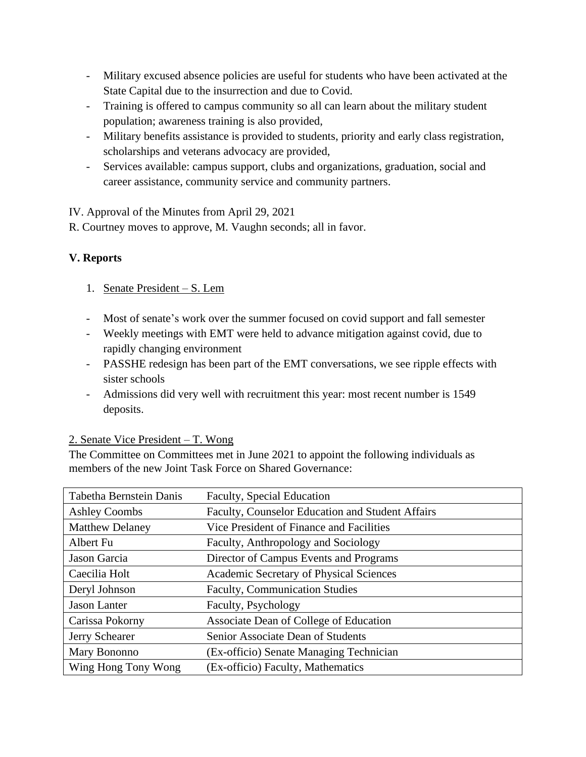- Military excused absence policies are useful for students who have been activated at the State Capital due to the insurrection and due to Covid.
- Training is offered to campus community so all can learn about the military student population; awareness training is also provided,
- Military benefits assistance is provided to students, priority and early class registration, scholarships and veterans advocacy are provided,
- Services available: campus support, clubs and organizations, graduation, social and career assistance, community service and community partners.

IV. Approval of the Minutes from April 29, 2021

R. Courtney moves to approve, M. Vaughn seconds; all in favor.

# **V. Reports**

- 1. Senate President S. Lem
- Most of senate's work over the summer focused on covid support and fall semester
- Weekly meetings with EMT were held to advance mitigation against covid, due to rapidly changing environment
- PASSHE redesign has been part of the EMT conversations, we see ripple effects with sister schools
- Admissions did very well with recruitment this year: most recent number is 1549 deposits.

## 2. Senate Vice President – T. Wong

The Committee on Committees met in June 2021 to appoint the following individuals as members of the new Joint Task Force on Shared Governance:

| Tabetha Bernstein Danis | Faculty, Special Education                       |
|-------------------------|--------------------------------------------------|
| <b>Ashley Coombs</b>    | Faculty, Counselor Education and Student Affairs |
| <b>Matthew Delaney</b>  | Vice President of Finance and Facilities         |
| Albert Fu               | Faculty, Anthropology and Sociology              |
| Jason Garcia            | Director of Campus Events and Programs           |
| Caecilia Holt           | Academic Secretary of Physical Sciences          |
| Deryl Johnson           | <b>Faculty, Communication Studies</b>            |
| <b>Jason Lanter</b>     | Faculty, Psychology                              |
| Carissa Pokorny         | Associate Dean of College of Education           |
| Jerry Schearer          | Senior Associate Dean of Students                |
| Mary Bononno            | (Ex-officio) Senate Managing Technician          |
| Wing Hong Tony Wong     | (Ex-officio) Faculty, Mathematics                |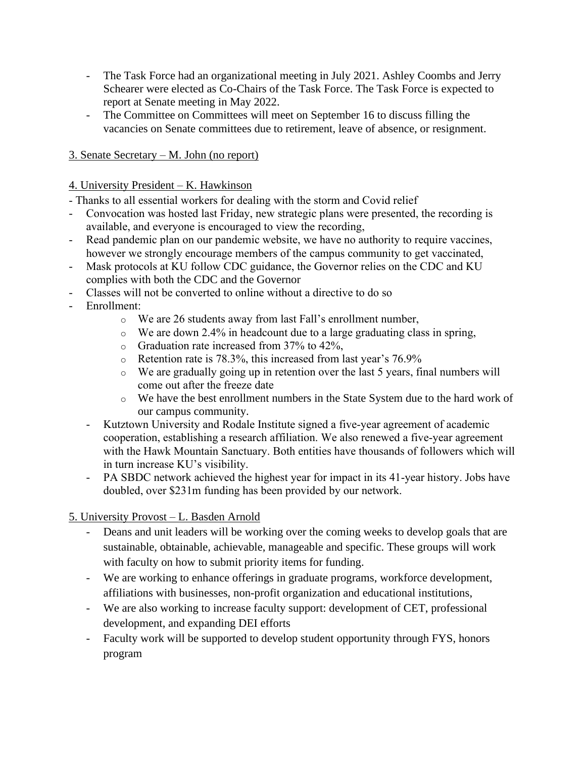- The Task Force had an organizational meeting in July 2021. Ashley Coombs and Jerry Schearer were elected as Co-Chairs of the Task Force. The Task Force is expected to report at Senate meeting in May 2022.
- The Committee on Committees will meet on September 16 to discuss filling the vacancies on Senate committees due to retirement, leave of absence, or resignment.

# 3. Senate Secretary – M. John (no report)

## 4. University President – K. Hawkinson

- Thanks to all essential workers for dealing with the storm and Covid relief
- Convocation was hosted last Friday, new strategic plans were presented, the recording is available, and everyone is encouraged to view the recording,
- Read pandemic plan on our pandemic website, we have no authority to require vaccines, however we strongly encourage members of the campus community to get vaccinated,
- Mask protocols at KU follow CDC guidance, the Governor relies on the CDC and KU complies with both the CDC and the Governor
- Classes will not be converted to online without a directive to do so
- Enrollment:
	- o We are 26 students away from last Fall's enrollment number,
	- $\circ$  We are down 2.4% in headcount due to a large graduating class in spring,
	- o Graduation rate increased from 37% to 42%,
	- o Retention rate is 78.3%, this increased from last year's 76.9%
	- o We are gradually going up in retention over the last 5 years, final numbers will come out after the freeze date
	- o We have the best enrollment numbers in the State System due to the hard work of our campus community.
	- Kutztown University and Rodale Institute signed a five-year agreement of academic cooperation, establishing a research affiliation. We also renewed a five-year agreement with the Hawk Mountain Sanctuary. Both entities have thousands of followers which will in turn increase KU's visibility.
	- PA SBDC network achieved the highest year for impact in its 41-year history. Jobs have doubled, over \$231m funding has been provided by our network.

# 5. University Provost – L. Basden Arnold

- Deans and unit leaders will be working over the coming weeks to develop goals that are sustainable, obtainable, achievable, manageable and specific. These groups will work with faculty on how to submit priority items for funding.
- We are working to enhance offerings in graduate programs, workforce development, affiliations with businesses, non-profit organization and educational institutions,
- We are also working to increase faculty support: development of CET, professional development, and expanding DEI efforts
- Faculty work will be supported to develop student opportunity through FYS, honors program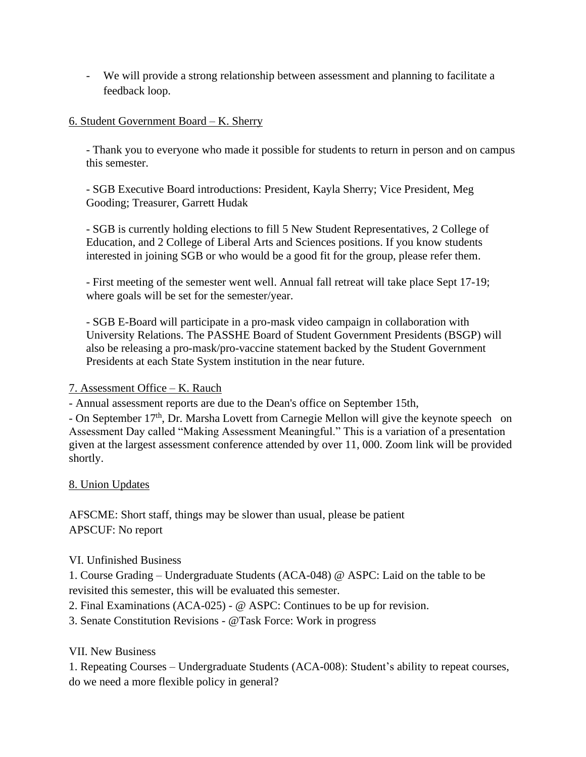- We will provide a strong relationship between assessment and planning to facilitate a feedback loop.

## 6. Student Government Board – K. Sherry

- Thank you to everyone who made it possible for students to return in person and on campus this semester.

- SGB Executive Board introductions: President, Kayla Sherry; Vice President, Meg Gooding; Treasurer, Garrett Hudak

- SGB is currently holding elections to fill 5 New Student Representatives, 2 College of Education, and 2 College of Liberal Arts and Sciences positions. If you know students interested in joining SGB or who would be a good fit for the group, please refer them.

- First meeting of the semester went well. Annual fall retreat will take place Sept 17-19; where goals will be set for the semester/year.

- SGB E-Board will participate in a pro-mask video campaign in collaboration with University Relations. The PASSHE Board of Student Government Presidents (BSGP) will also be releasing a pro-mask/pro-vaccine statement backed by the Student Government Presidents at each State System institution in the near future.

## 7. Assessment Office – K. Rauch

- Annual assessment reports are due to the Dean's office on September 15th,

- On September 17<sup>th</sup>, Dr. Marsha Lovett from Carnegie Mellon will give the keynote speech on Assessment Day called "Making Assessment Meaningful." This is a variation of a presentation given at the largest assessment conference attended by over 11, 000. Zoom link will be provided shortly.

## 8. Union Updates

AFSCME: Short staff, things may be slower than usual, please be patient APSCUF: No report

## VI. Unfinished Business

1. Course Grading – Undergraduate Students (ACA-048) @ ASPC: Laid on the table to be revisited this semester, this will be evaluated this semester.

2. Final Examinations (ACA-025) - @ ASPC: Continues to be up for revision.

3. Senate Constitution Revisions - @Task Force: Work in progress

## VII. New Business

1. Repeating Courses – Undergraduate Students (ACA-008): Student's ability to repeat courses, do we need a more flexible policy in general?